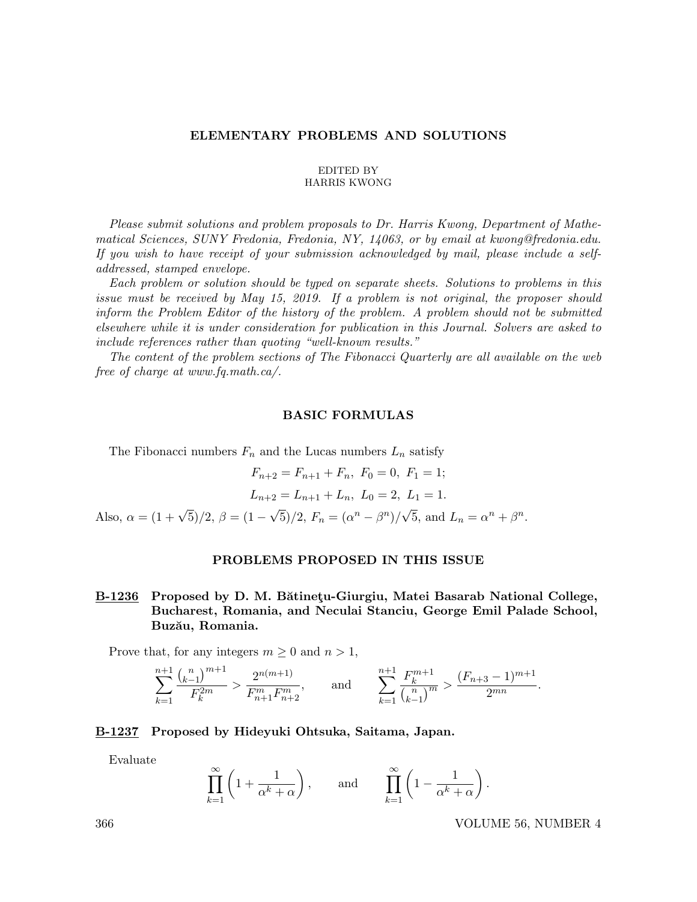### ELEMENTARY PROBLEMS AND SOLUTIONS

#### EDITED BY HARRIS KWONG

Please submit solutions and problem proposals to Dr. Harris Kwong, Department of Mathematical Sciences, SUNY Fredonia, Fredonia, NY, 14063, or by email at kwong@fredonia.edu. If you wish to have receipt of your submission acknowledged by mail, please include a selfaddressed, stamped envelope.

Each problem or solution should be typed on separate sheets. Solutions to problems in this issue must be received by May 15, 2019. If a problem is not original, the proposer should inform the Problem Editor of the history of the problem. A problem should not be submitted elsewhere while it is under consideration for publication in this Journal. Solvers are asked to include references rather than quoting "well-known results."

The content of the problem sections of The Fibonacci Quarterly are all available on the web free of charge at www.fq.math.ca/.

### BASIC FORMULAS

The Fibonacci numbers  $F_n$  and the Lucas numbers  $L_n$  satisfy

$$
F_{n+2} = F_{n+1} + F_n, \ F_0 = 0, \ F_1 = 1;
$$
  

$$
L_{n+2} = L_{n+1} + L_n, \ L_0 = 2, \ L_1 = 1.
$$
Also,  $\alpha = (1 + \sqrt{5})/2, \ \beta = (1 - \sqrt{5})/2, \ F_n = (\alpha^n - \beta^n)/\sqrt{5}, \text{ and } L_n = \alpha^n + \beta^n.$ 

### PROBLEMS PROPOSED IN THIS ISSUE

## B-1236 Proposed by D. M. Bătinețu-Giurgiu, Matei Basarab National College, Bucharest, Romania, and Neculai Stanciu, George Emil Palade School, Buzău, Romania.

Prove that, for any integers  $m \geq 0$  and  $n > 1$ ,

$$
\sum_{k=1}^{n+1} \frac{\binom{n}{k-1}^{m+1}}{F_k^{2m}} > \frac{2^{n(m+1)}}{F_{n+1}^m F_{n+2}^m}, \quad \text{and} \quad \sum_{k=1}^{n+1} \frac{F_k^{m+1}}{\binom{n}{k-1}^m} > \frac{(F_{n+3}-1)^{m+1}}{2^{mn}}.
$$

## B-1237 Proposed by Hideyuki Ohtsuka, Saitama, Japan.

Evaluate

$$
\prod_{k=1}^{\infty} \left( 1 + \frac{1}{\alpha^k + \alpha} \right), \quad \text{and} \quad \prod_{k=1}^{\infty} \left( 1 - \frac{1}{\alpha^k + \alpha} \right).
$$

366 VOLUME 56, NUMBER 4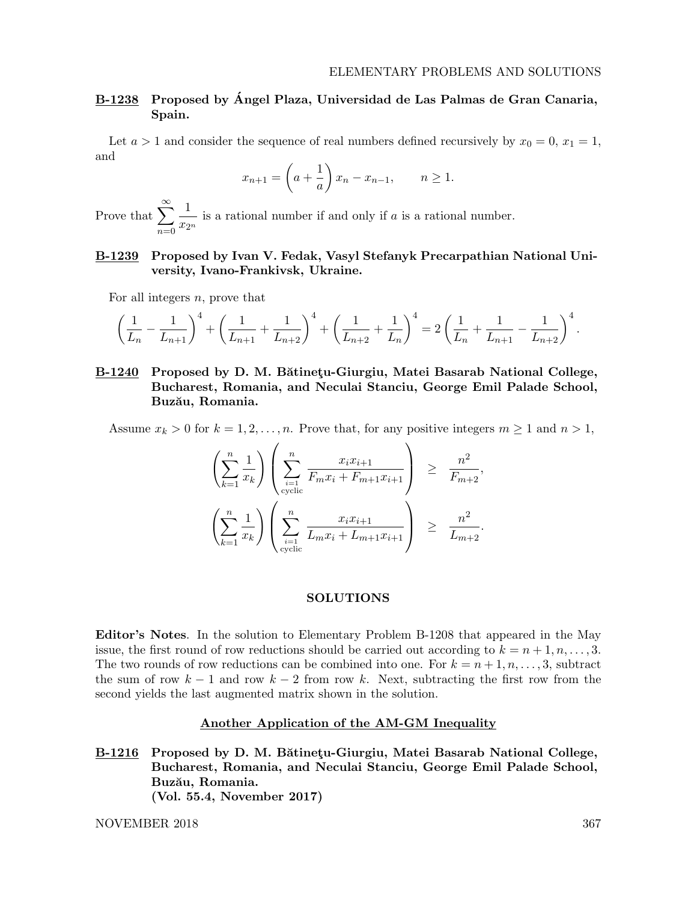,

.

## B-1238 Proposed by Angel Plaza, Universidad de Las Palmas de Gran Canaria, ´ Spain.

Let  $a > 1$  and consider the sequence of real numbers defined recursively by  $x_0 = 0, x_1 = 1$ , and

$$
x_{n+1} = \left(a + \frac{1}{a}\right)x_n - x_{n-1}, \qquad n \ge 1.
$$

Prove that  $\sum_{n=1}^{\infty}$  $n=0$ 1  $\frac{1}{x_{2n}}$  is a rational number if and only if a is a rational number.

## B-1239 Proposed by Ivan V. Fedak, Vasyl Stefanyk Precarpathian National University, Ivano-Frankivsk, Ukraine.

For all integers  $n$ , prove that

$$
\left(\frac{1}{L_n} - \frac{1}{L_{n+1}}\right)^4 + \left(\frac{1}{L_{n+1}} + \frac{1}{L_{n+2}}\right)^4 + \left(\frac{1}{L_{n+2}} + \frac{1}{L_n}\right)^4 = 2\left(\frac{1}{L_n} + \frac{1}{L_{n+1}} - \frac{1}{L_{n+2}}\right)^4.
$$

## B-1240 Proposed by D. M. Bătinetu-Giurgiu, Matei Basarab National College, Bucharest, Romania, and Neculai Stanciu, George Emil Palade School, Buzău, Romania.

Assume  $x_k > 0$  for  $k = 1, 2, ..., n$ . Prove that, for any positive integers  $m \ge 1$  and  $n > 1$ ,

$$
\left(\sum_{k=1}^{n} \frac{1}{x_k}\right) \left(\sum_{\substack{i=1 \ \text{cyclic}}}^{n} \frac{x_i x_{i+1}}{F_m x_i + F_{m+1} x_{i+1}}\right) \ge \frac{n^2}{F_{m+2}}
$$
\n
$$
\left(\sum_{k=1}^{n} \frac{1}{x_k}\right) \left(\sum_{\substack{i=1 \ \text{cyclic}}}^{n} \frac{x_i x_{i+1}}{L_m x_i + L_{m+1} x_{i+1}}\right) \ge \frac{n^2}{L_{m+2}}
$$

#### SOLUTIONS

Editor's Notes. In the solution to Elementary Problem B-1208 that appeared in the May issue, the first round of row reductions should be carried out according to  $k = n + 1, n, \ldots, 3$ . The two rounds of row reductions can be combined into one. For  $k = n + 1, n, \ldots, 3$ , subtract the sum of row  $k-1$  and row  $k-2$  from row k. Next, subtracting the first row from the second yields the last augmented matrix shown in the solution.

## Another Application of the AM-GM Inequality

B-1216 Proposed by D. M. Bătinetu-Giurgiu, Matei Basarab National College, Bucharest, Romania, and Neculai Stanciu, George Emil Palade School, Buzău, Romania. (Vol. 55.4, November 2017)

NOVEMBER 2018 367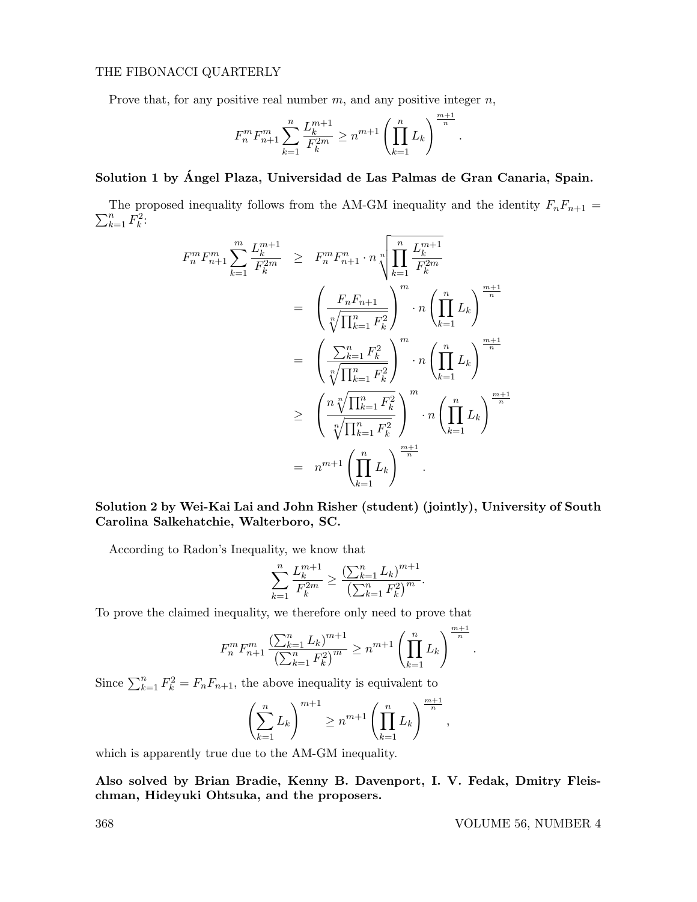## THE FIBONACCI QUARTERLY

Prove that, for any positive real number  $m$ , and any positive integer  $n$ ,

$$
F_n^m F_{n+1}^m \sum_{k=1}^n \frac{L_k^{m+1}}{F_k^{2m}} \ge n^{m+1} \left( \prod_{k=1}^n L_k \right)^{\frac{m+1}{n}}.
$$

! <sup>m</sup>+1

# Solution 1 by Angel Plaza, Universidad de Las Palmas de Gran Canaria, Spain. ´

 $\sum_{k=1}^n \tilde{F_k^2}$ : The proposed inequality follows from the AM-GM inequality and the identity  $F_nF_{n+1}$  =

$$
F_n^m F_{n+1}^m \sum_{k=1}^m \frac{L_k^{m+1}}{F_k^{2m}} \geq F_n^m F_{n+1}^n \cdot n \sqrt[n]{\prod_{k=1}^n \frac{L_k^{m+1}}{F_k^{2m}}}
$$
  

$$
= \left(\frac{F_n F_{n+1}}{\sqrt[n]{\prod_{k=1}^n F_k^2}}\right)^m \cdot n \left(\prod_{k=1}^n L_k\right)^{\frac{m+1}{n}}
$$
  

$$
= \left(\frac{\sum_{k=1}^n F_k^2}{\sqrt[n]{\prod_{k=1}^n F_k^2}}\right)^m \cdot n \left(\prod_{k=1}^n L_k\right)^{\frac{m+1}{n}}
$$
  

$$
\geq \left(\frac{n \sqrt[n]{\prod_{k=1}^n F_k^2}}{\sqrt[n]{\prod_{k=1}^n F_k^2}}\right)^m \cdot n \left(\prod_{k=1}^n L_k\right)^{\frac{m+1}{n}}
$$
  

$$
= n^{m+1} \left(\prod_{k=1}^n L_k\right)^{\frac{m+1}{n}}.
$$

Solution 2 by Wei-Kai Lai and John Risher (student) (jointly), University of South Carolina Salkehatchie, Walterboro, SC.

According to Radon's Inequality, we know that

$$
\sum_{k=1}^{n} \frac{L_k^{m+1}}{F_k^{2m}} \ge \frac{\left(\sum_{k=1}^{n} L_k\right)^{m+1}}{\left(\sum_{k=1}^{n} F_k^2\right)^m}.
$$

To prove the claimed inequality, we therefore only need to prove that

$$
F_n^m F_{n+1}^m \frac{\left(\sum_{k=1}^n L_k\right)^{m+1}}{\left(\sum_{k=1}^n F_k^2\right)^m} \ge n^{m+1} \left(\prod_{k=1}^n L_k\right)^{\frac{m+1}{n}}.
$$

Since  $\sum_{k=1}^{n} F_k^2 = F_n F_{n+1}$ , the above inequality is equivalent to

$$
\left(\sum_{k=1}^n L_k\right)^{m+1} \ge n^{m+1} \left(\prod_{k=1}^n L_k\right)^{\frac{m+1}{n}},
$$

which is apparently true due to the AM-GM inequality.

Also solved by Brian Bradie, Kenny B. Davenport, I. V. Fedak, Dmitry Fleischman, Hideyuki Ohtsuka, and the proposers.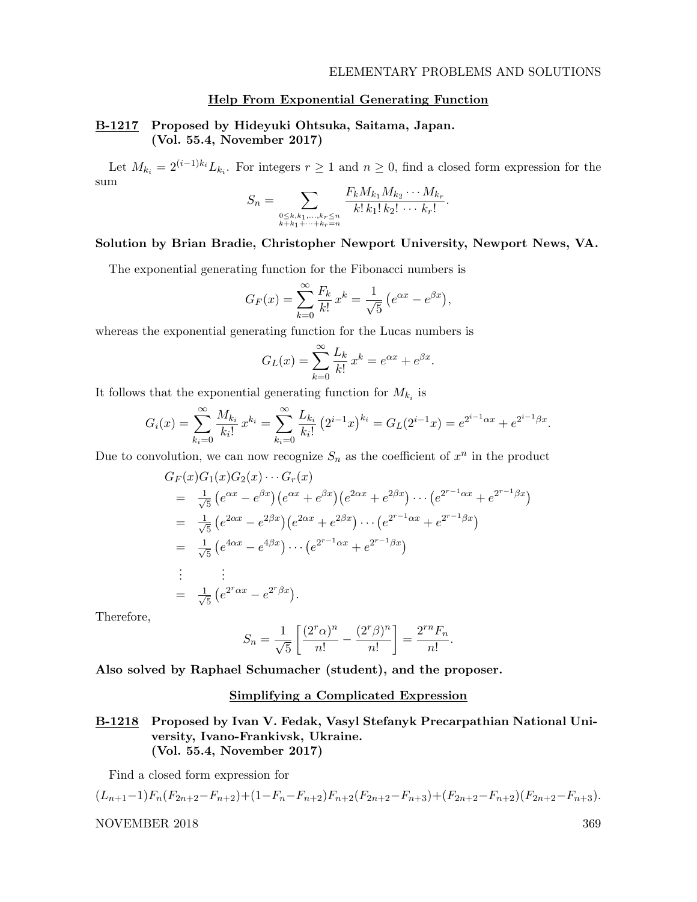### Help From Exponential Generating Function

## B-1217 Proposed by Hideyuki Ohtsuka, Saitama, Japan. (Vol. 55.4, November 2017)

Let  $M_{k_i} = 2^{(i-1)k_i} L_{k_i}$ . For integers  $r \ge 1$  and  $n \ge 0$ , find a closed form expression for the sum

$$
S_n = \sum_{\substack{0 \le k, k_1, \dots, k_r \le n \\ k+k_1 + \dots + k_r = n}} \frac{F_k M_{k_1} M_{k_2} \cdots M_{k_r}}{k! \, k_1! \, k_2! \, \dots \, k_r!}.
$$

## Solution by Brian Bradie, Christopher Newport University, Newport News, VA.

The exponential generating function for the Fibonacci numbers is

$$
G_F(x) = \sum_{k=0}^{\infty} \frac{F_k}{k!} x^k = \frac{1}{\sqrt{5}} (e^{\alpha x} - e^{\beta x}),
$$

whereas the exponential generating function for the Lucas numbers is

$$
G_L(x) = \sum_{k=0}^{\infty} \frac{L_k}{k!} x^k = e^{\alpha x} + e^{\beta x}.
$$

It follows that the exponential generating function for  $M_{k_i}$  is

$$
G_i(x) = \sum_{k_i=0}^{\infty} \frac{M_{k_i}}{k_i!} x^{k_i} = \sum_{k_i=0}^{\infty} \frac{L_{k_i}}{k_i!} (2^{i-1}x)^{k_i} = G_L(2^{i-1}x) = e^{2^{i-1}\alpha x} + e^{2^{i-1}\beta x}.
$$

Due to convolution, we can now recognize  $S_n$  as the coefficient of  $x^n$  in the product

$$
G_F(x)G_1(x)G_2(x)\cdots G_r(x)
$$
  
=  $\frac{1}{\sqrt{5}}\left(e^{\alpha x}-e^{\beta x}\right)\left(e^{\alpha x}+e^{\beta x}\right)\left(e^{2\alpha x}+e^{2\beta x}\right)\cdots\left(e^{2^{r-1}\alpha x}+e^{2^{r-1}\beta x}\right)$   
=  $\frac{1}{\sqrt{5}}\left(e^{2\alpha x}-e^{2\beta x}\right)\left(e^{2\alpha x}+e^{2\beta x}\right)\cdots\left(e^{2^{r-1}\alpha x}+e^{2^{r-1}\beta x}\right)$   
=  $\frac{1}{\sqrt{5}}\left(e^{4\alpha x}-e^{4\beta x}\right)\cdots\left(e^{2^{r-1}\alpha x}+e^{2^{r-1}\beta x}\right)$   
:  $\vdots$   
=  $\frac{1}{\sqrt{5}}\left(e^{2^r\alpha x}-e^{2^r\beta x}\right).$ 

Therefore,

$$
S_n = \frac{1}{\sqrt{5}} \left[ \frac{(2^r \alpha)^n}{n!} - \frac{(2^r \beta)^n}{n!} \right] = \frac{2^{rn} F_n}{n!}.
$$

Also solved by Raphael Schumacher (student), and the proposer.

## Simplifying a Complicated Expression

## B-1218 Proposed by Ivan V. Fedak, Vasyl Stefanyk Precarpathian National University, Ivano-Frankivsk, Ukraine. (Vol. 55.4, November 2017)

Find a closed form expression for

$$
(L_{n+1}-1)F_n(F_{2n+2}-F_{n+2})+(1-F_n-F_{n+2})F_{n+2}(F_{2n+2}-F_{n+3})+(F_{2n+2}-F_{n+2})(F_{2n+2}-F_{n+3}).
$$
  
NOVEMBER 2018 369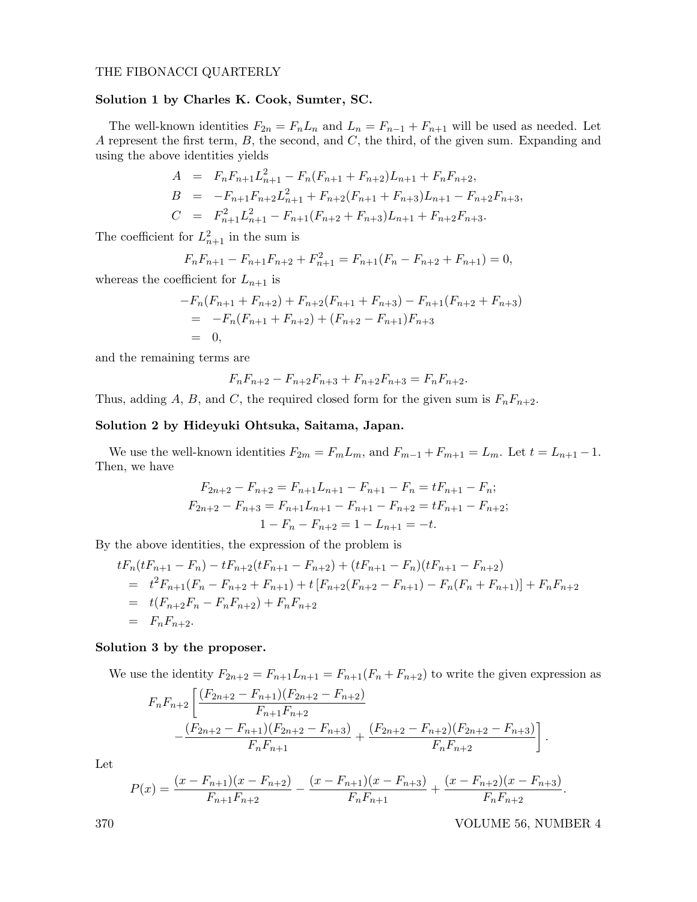#### THE FIBONACCI QUARTERLY

### Solution 1 by Charles K. Cook, Sumter, SC.

The well-known identities  $F_{2n} = F_n L_n$  and  $L_n = F_{n-1} + F_{n+1}$  will be used as needed. Let A represent the first term,  $B$ , the second, and  $C$ , the third, of the given sum. Expanding and using the above identities yields

$$
A = F_n F_{n+1} L_{n+1}^2 - F_n (F_{n+1} + F_{n+2}) L_{n+1} + F_n F_{n+2},
$$
  
\n
$$
B = -F_{n+1} F_{n+2} L_{n+1}^2 + F_{n+2} (F_{n+1} + F_{n+3}) L_{n+1} - F_{n+2} F_{n+3},
$$
  
\n
$$
C = F_{n+1}^2 L_{n+1}^2 - F_{n+1} (F_{n+2} + F_{n+3}) L_{n+1} + F_{n+2} F_{n+3}.
$$

The coefficient for  $L_{n+1}^2$  in the sum is

$$
F_n F_{n+1} - F_{n+1} F_{n+2} + F_{n+1}^2 = F_{n+1} (F_n - F_{n+2} + F_{n+1}) = 0,
$$

whereas the coefficient for  $L_{n+1}$  is

$$
-F_n(F_{n+1} + F_{n+2}) + F_{n+2}(F_{n+1} + F_{n+3}) - F_{n+1}(F_{n+2} + F_{n+3})
$$
  
= 
$$
-F_n(F_{n+1} + F_{n+2}) + (F_{n+2} - F_{n+1})F_{n+3}
$$
  
= 0,

and the remaining terms are

$$
F_n F_{n+2} - F_{n+2} F_{n+3} + F_{n+2} F_{n+3} = F_n F_{n+2}.
$$

Thus, adding A, B, and C, the required closed form for the given sum is  $F_nF_{n+2}$ .

## Solution 2 by Hideyuki Ohtsuka, Saitama, Japan.

We use the well-known identities  $F_{2m} = F_m L_m$ , and  $F_{m-1} + F_{m+1} = L_m$ . Let  $t = L_{n+1} - 1$ . Then, we have

$$
F_{2n+2} - F_{n+2} = F_{n+1}L_{n+1} - F_{n+1} - F_n = tF_{n+1} - F_n;
$$
  
\n
$$
F_{2n+2} - F_{n+3} = F_{n+1}L_{n+1} - F_{n+1} - F_{n+2} = tF_{n+1} - F_{n+2};
$$
  
\n
$$
1 - F_n - F_{n+2} = 1 - L_{n+1} = -t.
$$

By the above identities, the expression of the problem is

$$
tF_n(tF_{n+1} - F_n) - tF_{n+2}(tF_{n+1} - F_{n+2}) + (tF_{n+1} - F_n)(tF_{n+1} - F_{n+2})
$$
  
=  $t^2F_{n+1}(F_n - F_{n+2} + F_{n+1}) + t[F_{n+2}(F_{n+2} - F_{n+1}) - F_n(F_n + F_{n+1})] + F_nF_{n+2}$   
=  $t(F_{n+2}F_n - F_nF_{n+2}) + F_nF_{n+2}$   
=  $F_nF_{n+2}$ .

#### Solution 3 by the proposer.

We use the identity  $F_{2n+2} = F_{n+1}L_{n+1} = F_{n+1}(F_n + F_{n+2})$  to write the given expression as

$$
F_{n}F_{n+2}\left[\frac{(F_{2n+2}-F_{n+1})(F_{2n+2}-F_{n+2})}{F_{n+1}F_{n+2}} -\frac{(F_{2n+2}-F_{n+1})(F_{2n+2}-F_{n+3})}{F_{n}F_{n+1}}+\frac{(F_{2n+2}-F_{n+2})(F_{2n+2}-F_{n+3})}{F_{n}F_{n+2}}\right].
$$

Let

$$
P(x) = \frac{(x - F_{n+1})(x - F_{n+2})}{F_{n+1}F_{n+2}} - \frac{(x - F_{n+1})(x - F_{n+3})}{F_nF_{n+1}} + \frac{(x - F_{n+2})(x - F_{n+3})}{F_nF_{n+2}}.
$$

370 VOLUME 56, NUMBER 4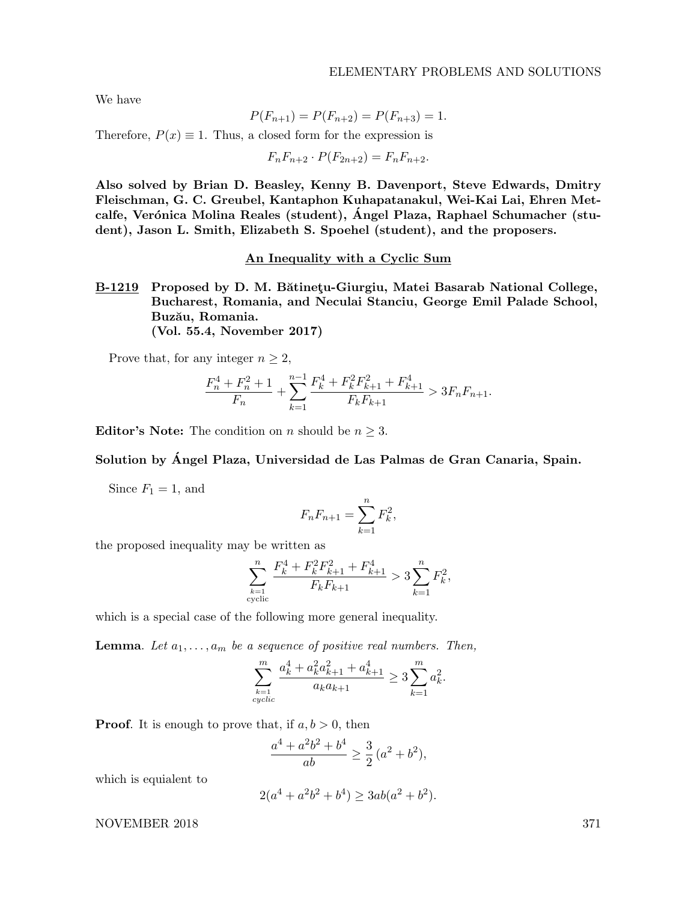We have

$$
P(F_{n+1}) = P(F_{n+2}) = P(F_{n+3}) = 1.
$$

Therefore,  $P(x) \equiv 1$ . Thus, a closed form for the expression is

$$
F_n F_{n+2} \cdot P(F_{2n+2}) = F_n F_{n+2}.
$$

Also solved by Brian D. Beasley, Kenny B. Davenport, Steve Edwards, Dmitry Fleischman, G. C. Greubel, Kantaphon Kuhapatanakul, Wei-Kai Lai, Ehren Metcalfe, Verónica Molina Reales (student), Ángel Plaza, Raphael Schumacher (student), Jason L. Smith, Elizabeth S. Spoehel (student), and the proposers.

### An Inequality with a Cyclic Sum

B-1219 Proposed by D. M. Bătinețu-Giurgiu, Matei Basarab National College, Bucharest, Romania, and Neculai Stanciu, George Emil Palade School, Buzău, Romania. (Vol. 55.4, November 2017)

Prove that, for any integer  $n \geq 2$ ,

$$
\frac{F_n^4 + F_n^2 + 1}{F_n} + \sum_{k=1}^{n-1} \frac{F_k^4 + F_k^2 F_{k+1}^2 + F_{k+1}^4}{F_k F_{k+1}} > 3F_n F_{n+1}.
$$

**Editor's Note:** The condition on *n* should be  $n \geq 3$ .

## Solution by Ángel Plaza, Universidad de Las Palmas de Gran Canaria, Spain.

Since  $F_1 = 1$ , and

$$
F_n F_{n+1} = \sum_{k=1}^n F_k^2,
$$

the proposed inequality may be written as

$$
\sum_{\substack{k=1\\ \text{cyclic}}}^n \frac{F_k^4+F_k^2F_{k+1}^2+F_{k+1}^4}{F_kF_{k+1}} > 3 \sum_{k=1}^n F_k^2,
$$

which is a special case of the following more general inequality.

**Lemma.** Let  $a_1, \ldots, a_m$  be a sequence of positive real numbers. Then,

$$
\sum_{\substack{k=1\\cyclic}}^m \frac{a_k^4 + a_k^2 a_{k+1}^2 + a_{k+1}^4}{a_k a_{k+1}} \ge 3 \sum_{k=1}^m a_k^2.
$$

**Proof.** It is enough to prove that, if  $a, b > 0$ , then

$$
\frac{a^4 + a^2b^2 + b^4}{ab} \ge \frac{3}{2}(a^2 + b^2),
$$

which is equialent to

$$
2(a^4 + a^2b^2 + b^4) \ge 3ab(a^2 + b^2).
$$

NOVEMBER 2018 371